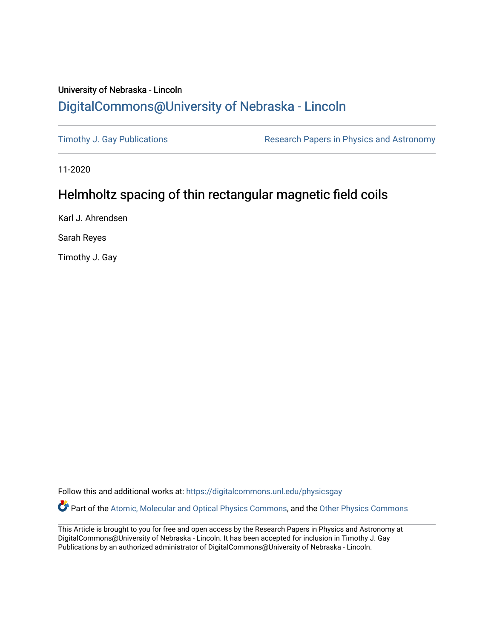# University of Nebraska - Lincoln [DigitalCommons@University of Nebraska - Lincoln](https://digitalcommons.unl.edu/)

[Timothy J. Gay Publications](https://digitalcommons.unl.edu/physicsgay) **Research Papers in Physics and Astronomy** 

11-2020

# Helmholtz spacing of thin rectangular magnetic field coils

Karl J. Ahrendsen

Sarah Reyes

Timothy J. Gay

Follow this and additional works at: [https://digitalcommons.unl.edu/physicsgay](https://digitalcommons.unl.edu/physicsgay?utm_source=digitalcommons.unl.edu%2Fphysicsgay%2F72&utm_medium=PDF&utm_campaign=PDFCoverPages)

Part of the [Atomic, Molecular and Optical Physics Commons,](http://network.bepress.com/hgg/discipline/195?utm_source=digitalcommons.unl.edu%2Fphysicsgay%2F72&utm_medium=PDF&utm_campaign=PDFCoverPages) and the [Other Physics Commons](http://network.bepress.com/hgg/discipline/207?utm_source=digitalcommons.unl.edu%2Fphysicsgay%2F72&utm_medium=PDF&utm_campaign=PDFCoverPages) 

This Article is brought to you for free and open access by the Research Papers in Physics and Astronomy at DigitalCommons@University of Nebraska - Lincoln. It has been accepted for inclusion in Timothy J. Gay Publications by an authorized administrator of DigitalCommons@University of Nebraska - Lincoln.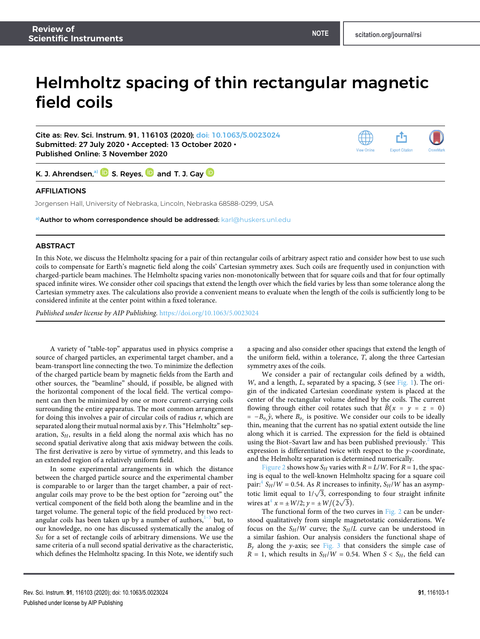# Helmholtz spacing of thin rectangular magnetic field coils

Cite as: Rev. Sci. Instrum. **91**, 116103 (2020); [doi: 10.1063/5.0023024](https://doi.org/10.1063/5.0023024) Submitted: 27 July 2020 • Accepted: 13 October 2020 • Published Online: 3 November 2020



K. J. Ahrendsen,<sup>[a\)](#page-1-0)</sup>  $\mathbf D$  S. Reyes,  $\mathbf D$  and T. J. Gay  $\mathbf D$ 

## AFFILIATIONS

Jorgensen Hall, University of Nebraska, Lincoln, Nebraska 68588-0299, USA

#### <span id="page-1-0"></span>**a)**Author to whom correspondence should be addressed: [karl@huskers.unl.edu](mailto:karl@huskers.unl.edu)

### ABSTRACT

In this Note, we discuss the Helmholtz spacing for a pair of thin rectangular coils of arbitrary aspect ratio and consider how best to use such coils to compensate for Earth's magnetic field along the coils' Cartesian symmetry axes. Such coils are frequently used in conjunction with charged-particle beam machines. The Helmholtz spacing varies non-monotonically between that for square coils and that for four optimally spaced infinite wires. We consider other coil spacings that extend the length over which the field varies by less than some tolerance along the Cartesian symmetry axes. The calculations also provide a convenient means to evaluate when the length of the coils is sufficiently long to be considered infinite at the center point within a fixed tolerance.

Published under license by AIP Publishing. [https://doi.org/10.1063/5.0023024.,](https://doi.org/10.1063/5.0023024)

A variety of "table-top" apparatus used in physics comprise a source of charged particles, an experimental target chamber, and a beam-transport line connecting the two. To minimize the deflection of the charged particle beam by magnetic fields from the Earth and other sources, the "beamline" should, if possible, be aligned with the horizontal component of the local field. The vertical component can then be minimized by one or more current-carrying coils surrounding the entire apparatus. The most common arrangement for doing this involves a pair of circular coils of radius  $r$ , which are separated along their mutual normal axis by  $r$ . This "Helmholtz" separation,  $S_H$ , results in a field along the normal axis which has no second spatial derivative along that axis midway between the coils. The first derivative is zero by virtue of symmetry, and this leads to an extended region of a relatively uniform field.

In some experimental arrangements in which the distance between the charged particle source and the experimental chamber is comparable to or larger than the target chamber, a pair of rectangular coils may prove to be the best option for "zeroing out" the vertical component of the field both along the beamline and in the target volume. The general topic of the field produced by two rectangular coils has been taken up by a number of authors, $1-3$  $1-3$  but, to our knowledge, no one has discussed systematically the analog of  $S_H$  for a set of rectangle coils of arbitrary dimensions. We use the same criteria of a null second spatial derivative as the characteristic, which defines the Helmholtz spacing. In this Note, we identify such

a spacing and also consider other spacings that extend the length of the uniform field, within a tolerance, T, along the three Cartesian symmetry axes of the coils.

We consider a pair of rectangular coils defined by a width, W, and a length,  $L$ , separated by a spacing,  $S$  (see [Fig. 1\)](#page-2-0). The origin of the indicated Cartesian coordinate system is placed at the center of the rectangular volume defined by the coils. The current flowing through either coil rotates such that  $\vec{B}(x = y = z = 0)$  $= -B_{o_y} \hat{y}$ , where  $B_{o_y}$  is positive. We consider our coils to be ideally thin, meaning that the current has no spatial extent outside the line along which it is carried. The expression for the field is obtained using the Biot–Savart law and has been published previously.<sup>[2](#page-3-2)</sup> This expression is differentiated twice with respect to the  $y$ -coordinate, and the Helmholtz separation is determined numerically.

[Figure 2](#page-2-1) shows how  $S_H$  varies with  $R = L/W$ . For  $R = 1$ , the spacing is equal to the well-known Helmholtz spacing for a square coil pair:<sup>[4](#page-3-3)</sup>  $S_H/W = 0.54$ . As R increases to infinity,  $S_H/W$  has an asymppan:  $SH/W = 0.34$ . As K increases to infinity,  $SH/W$  has an asymptotic limit equal to  $1/\sqrt{3}$ , corresponding to four straight infinite wires at<sup>[4](#page-3-3)</sup>  $x = \pm W/2$ ;  $y = \pm W/(2\sqrt{3})$ .

The functional form of the two curves in [Fig. 2](#page-2-1) can be understood qualitatively from simple magnetostatic considerations. We focus on the  $S_H/W$  curve; the  $S_H/L$  curve can be understood in a similar fashion. Our analysis considers the functional shape of  $B<sub>y</sub>$  along the y-axis; see [Fig. 3](#page-2-2) that considers the simple case of  $R = 1$ , which results in  $S_H/W = 0.54$ . When  $S < S_H$ , the field can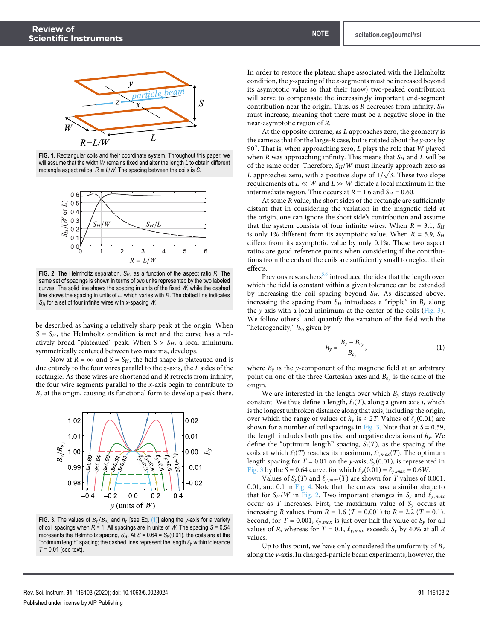<span id="page-2-0"></span>

**FIG. 1**. Rectangular coils and their coordinate system. Throughout this paper, we will assume that the width *W* remains fixed and alter the length *L* to obtain different rectangle aspect ratios,  $R = L/W$ . The spacing between the coils is *S*.

<span id="page-2-1"></span>

**FIG. 2**. The Helmholtz separation, *SH*, as a function of the aspect ratio *R*. The same set of spacings is shown in terms of two units represented by the two labeled curves. The solid line shows the spacing in units of the fixed *W*, while the dashed line shows the spacing in units of *L*, which varies with *R*. The dotted line indicates *S<sup>H</sup>* for a set of four infinite wires with *x*-spacing *W*.

be described as having a relatively sharp peak at the origin. When  $S = S_H$ , the Helmholtz condition is met and the curve has a relatively broad "plateaued" peak. When  $S > S_H$ , a local minimum, symmetrically centered between two maxima, develops.

Now at  $R = \infty$  and  $S = S_H$ , the field shape is plateaued and is due entirely to the four wires parallel to the z-axis, the L sides of the rectangle. As these wires are shortened and R retreats from infinity, the four wire segments parallel to the  $x$ -axis begin to contribute to  $B<sub>y</sub>$  at the origin, causing its functional form to develop a peak there.

<span id="page-2-2"></span>

**FIG. 3**. The values of  $B_y/B_{o_y}$  and  $h_y$  [see Eq. [\(1\)\]](#page-2-3) along the *y*-axis for a variety of coil spacings when *R* = 1. All spacings are in units of *W*. The spacing *S* = 0.54 represents the Helmholtz spacing,  $S_H$ . At  $S = 0.64 = S_y(0.01)$ , the coils are at the "optimum length" spacing; the dashed lines represent the length ℓ*<sup>y</sup>* within tolerance *T* = 0.01 (see text).

In order to restore the plateau shape associated with the Helmholtz condition, the y-spacing of the z-segments must be increased beyond its asymptotic value so that their (now) two-peaked contribution will serve to compensate the increasingly important end-segment contribution near the origin. Thus, as  $R$  decreases from infinity,  $S_H$ must increase, meaning that there must be a negative slope in the near-asymptotic region of R.

At the opposite extreme, as  $L$  approaches zero, the geometry is the same as that for the large-R case, but is rotated about the  $y$ -axis by 90 $^{\circ}$ . That is, when approaching zero,  $L$  plays the role that  $W$  played when R was approaching infinity. This means that  $S_H$  and L will be of the same order. Therefore,  $S_H/W$  must linearly approach zero as  $L$  approaches zero, with a positive slope of  $1/\sqrt{3}.$  These two slope requirements at  $L \ll W$  and  $L \gg W$  dictate a local maximum in the intermediate region. This occurs at  $R = 1.6$  and  $S_H = 0.60$ .

At some R value, the short sides of the rectangle are sufficiently distant that in considering the variation in the magnetic field at the origin, one can ignore the short side's contribution and assume that the system consists of four infinite wires. When  $R = 3.1$ ,  $S_H$ is only 1% different from its asymptotic value. When  $R = 5.9$ ,  $S_H$ differs from its asymptotic value by only 0.1%. These two aspect ratios are good reference points when considering if the contributions from the ends of the coils are sufficiently small to neglect their effects.

Previous researchers<sup>[5,](#page-3-4)[6](#page-3-5)</sup> introduced the idea that the length over which the field is constant within a given tolerance can be extended by increasing the coil spacing beyond  $S_H$ . As discussed above, increasing the spacing from  $S_H$  introduces a "ripple" in  $B_y$  along the  $y$  axis with a local minimum at the center of the coils [\(Fig. 3\)](#page-2-2). We follow others<sup>[7](#page-3-6)</sup> and quantify the variation of the field with the "heterogeneity,"  $h_y$ , given by

<span id="page-2-3"></span>
$$
h_y = \frac{B_y - B_{o_y}}{B_{o_y}},\tag{1}
$$

where  $B_y$  is the y-component of the magnetic field at an arbitrary point on one of the three Cartesian axes and  $B_{o_y}$  is the same at the origin.

We are interested in the length over which  $B<sub>y</sub>$  stays relatively constant. We thus define a length,  $\ell_i(T)$ , along a given axis *i*, which is the longest unbroken distance along that axis, including the origin, over which the range of values of  $h<sub>y</sub>$  is  $\leq$  2T. Values of  $\ell_{y}(0.01)$  are shown for a number of coil spacings in [Fig. 3.](#page-2-2) Note that at  $S = 0.59$ , the length includes both positive and negative deviations of  $h<sub>y</sub>$ . We define the "optimum length" spacing,  $S_i(T)$ , as the spacing of the coils at which  $\ell_i(T)$  reaches its maximum,  $\ell_{i,max}(T)$ . The optimum length spacing for  $T = 0.01$  on the y-axis,  $S_y(0.01)$ , is represented in [Fig. 3](#page-2-2) by the S = 0.64 curve, for which  $\ell_y(0.01) = \ell_{y,max} = 0.6W$ .

Values of  $S_y(T)$  and  $\ell_{y,max}(T)$  are shown for T values of 0.001, 0.01, and 0.1 in [Fig. 4.](#page-3-7) Note that the curves have a similar shape to that for  $S_H/W$  in [Fig. 2.](#page-2-1) Two important changes in  $S_y$  and  $\ell_{y,max}$ occur as T increases. First, the maximum value of  $S_y$  occurs at increasing R values, from  $R = 1.6$  (T = 0.001) to  $R = 2.2$  (T = 0.1). Second, for  $T = 0.001$ ,  $\ell_{y, max}$  is just over half the value of  $S_y$  for all values of R, whereas for  $T = 0.1$ ,  $\ell_{y,max}$  exceeds  $S_y$  by 40% at all R values.

Up to this point, we have only considered the uniformity of  $B_y$ along the y-axis. In charged-particle beam experiments, however, the